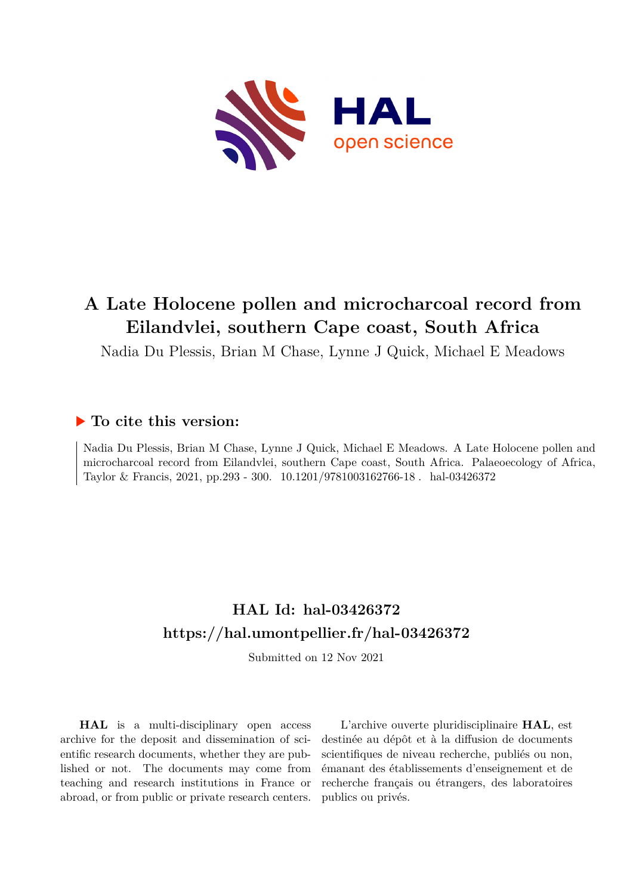

# **A Late Holocene pollen and microcharcoal record from Eilandvlei, southern Cape coast, South Africa**

Nadia Du Plessis, Brian M Chase, Lynne J Quick, Michael E Meadows

### **To cite this version:**

Nadia Du Plessis, Brian M Chase, Lynne J Quick, Michael E Meadows. A Late Holocene pollen and microcharcoal record from Eilandvlei, southern Cape coast, South Africa. Palaeoecology of Africa, Taylor & Francis, 2021, pp.293 - 300. 10.1201/9781003162766-18 . hal-03426372

### **HAL Id: hal-03426372 <https://hal.umontpellier.fr/hal-03426372>**

Submitted on 12 Nov 2021

**HAL** is a multi-disciplinary open access archive for the deposit and dissemination of scientific research documents, whether they are published or not. The documents may come from teaching and research institutions in France or abroad, or from public or private research centers.

L'archive ouverte pluridisciplinaire **HAL**, est destinée au dépôt et à la diffusion de documents scientifiques de niveau recherche, publiés ou non, émanant des établissements d'enseignement et de recherche français ou étrangers, des laboratoires publics ou privés.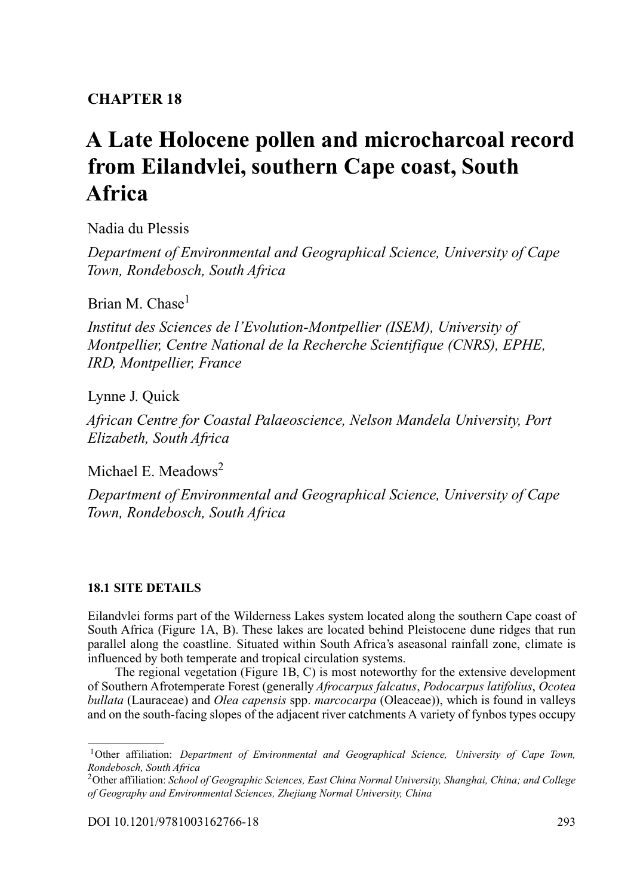### **CHAPTER 18**

## **[A Late Holocene pollen and microcharcoal record](#page--1-0) from Eilandvlei, southern Cape coast, South Africa**

Nadia du Plessis

*Department of Environmental and Geographical Science, University of Cape Town, Rondebosch, South Africa*

Brian M. Chase<sup>1</sup>

*Institut des Sciences de l'Evolution-Montpellier (ISEM), University of Montpellier, Centre National de la Recherche Scientifique (CNRS), EPHE, IRD, Montpellier, France*

Lynne J. Quick

*African Centre for Coastal Palaeoscience, Nelson Mandela University, Port Elizabeth, South Africa*

Michael E. Meadows2

*Department of Environmental and Geographical Science, University of Cape Town, Rondebosch, South Africa*

#### **18.1 SITE DETAILS**

Eilandvlei forms part of the Wilderness Lakes system located along the southern Cape coast of South Africa (Figure 1A, B). These lakes are located behind Pleistocene dune ridges that run parallel along the coastline. Situated within South Africa's aseasonal rainfall zone, climate is influenced by both temperate and tropical circulation systems.

The regional vegetation (Figure 1B, C) is most noteworthy for the extensive development of Southern Afrotemperate Forest (generally *Afrocarpus falcatus*, *Podocarpus latifolius*, *Ocotea bullata* (Lauraceae) and *Olea capensis* spp. *marcocarpa* (Oleaceae)), which is found in valleys and on the south-facing slopes of the adjacent river catchments A variety of fynbos types occupy

<sup>1</sup>Other affiliation: *Department of Environmental and Geographical Science, University of Cape Town, Rondebosch, South Africa*

<sup>2</sup>Other affiliation: *School of Geographic Sciences, East China Normal University, Shanghai, China; and College of Geography and Environmental Sciences, Zhejiang Normal University, China*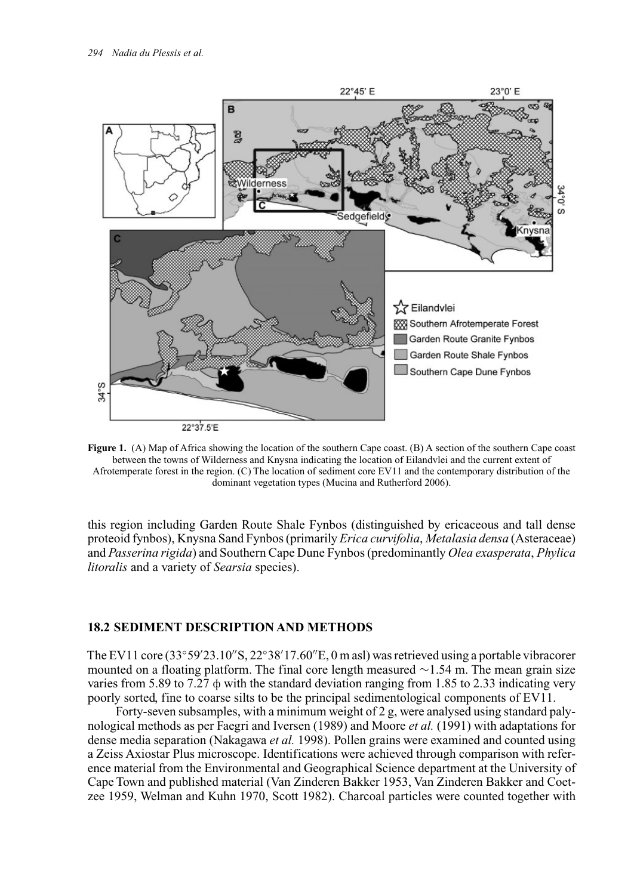

**Figure 1.** (A) Map of Africa showing the location of the southern Cape coast. (B) A section of the southern Cape coast between the towns of Wilderness and Knysna indicating the location of Eilandvlei and the current extent of Afrotemperate forest in the region. (C) The location of sediment core EV11 and the contemporary distribution of the dominant vegetation types (Mucina and Rutherford 2006).

this region including Garden Route Shale Fynbos (distinguished by ericaceous and tall dense proteoid fynbos), Knysna Sand Fynbos (primarily *Erica curvifolia*, *Metalasia densa* (Asteraceae) and *Passerina rigida*) and Southern Cape Dune Fynbos (predominantly *Olea exasperata*, *Phylica litoralis* and a variety of *Searsia* species).

#### **18.2 SEDIMENT DESCRIPTION AND METHODS**

The EV11 core (33°59'23.10"S, 22°38'17.60"E, 0 m asl) was retrieved using a portable vibracorer mounted on a floating platform. The final core length measured ∼1.54 m. The mean grain size varies from 5.89 to 7.27  $\phi$  with the standard deviation ranging from 1.85 to 2.33 indicating very poorly sorted, fine to coarse silts to be the principal sedimentological components of EV11.

Forty-seven subsamples, with a minimum weight of 2 g, were analysed using standard palynological methods as per Faegri and Iversen (1989) and Moore *et al.* (1991) with adaptations for dense media separation (Nakagawa *et al.* 1998). Pollen grains were examined and counted using a Zeiss Axiostar Plus microscope. Identifications were achieved through comparison with reference material from the Environmental and Geographical Science department at the University of Cape Town and published material (Van Zinderen Bakker 1953, Van Zinderen Bakker and Coetzee 1959, Welman and Kuhn 1970, Scott 1982). Charcoal particles were counted together with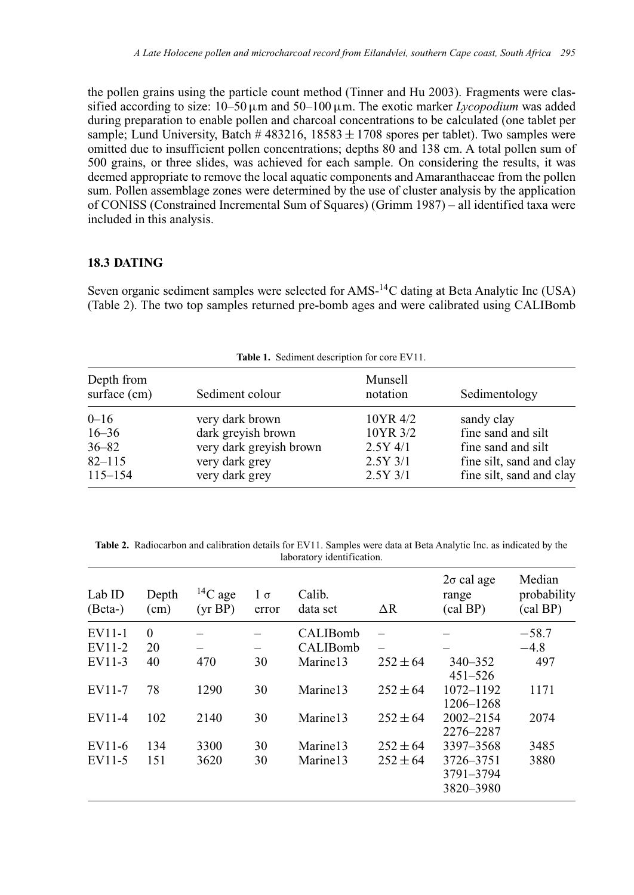the pollen grains using the particle count method (Tinner and Hu 2003). Fragments were classified according to size:  $10-50 \,\mu m$  and  $50-100 \,\mu m$ . The exotic marker *Lycopodium* was added during preparation to enable pollen and charcoal concentrations to be calculated (one tablet per sample; Lund University, Batch  $\#$  483216, 18583  $\pm$  1708 spores per tablet). Two samples were omitted due to insufficient pollen concentrations; depths 80 and 138 cm. A total pollen sum of 500 grains, or three slides, was achieved for each sample. On considering the results, it was deemed appropriate to remove the local aquatic components and Amaranthaceae from the pollen sum. Pollen assemblage zones were determined by the use of cluster analysis by the application of CONISS (Constrained Incremental Sum of Squares) (Grimm 1987) – all identified taxa were included in this analysis.

#### **18.3 DATING**

Seven organic sediment samples were selected for AMS-14C dating at Beta Analytic Inc (USA) (Table 2). The two top samples returned pre-bomb ages and were calibrated using CALIBomb

| Table 1. Sediment description for core EV11.                    |                                                                                                      |                                                                |                                                                                                                |  |  |  |  |
|-----------------------------------------------------------------|------------------------------------------------------------------------------------------------------|----------------------------------------------------------------|----------------------------------------------------------------------------------------------------------------|--|--|--|--|
| Depth from<br>surface (cm)                                      | Sediment colour                                                                                      | Munsell<br>notation                                            | Sedimentology                                                                                                  |  |  |  |  |
| $0 - 16$<br>$16 - 36$<br>$36 - 82$<br>$82 - 115$<br>$115 - 154$ | very dark brown<br>dark greyish brown<br>very dark greyish brown<br>very dark grey<br>very dark grey | 10YR 4/2<br>10YR 3/2<br>$2.5Y$ 4/1<br>$2.5Y$ 3/1<br>$2.5Y$ 3/1 | sandy clay<br>fine sand and silt<br>fine sand and silt<br>fine silt, sand and clay<br>fine silt, sand and clay |  |  |  |  |

**Table 2.** Radiocarbon and calibration details for EV11. Samples were data at Beta Analytic Inc. as indicated by the laboratory identification.

| Lab ID<br>$(Beta-)$ | Depth<br>(cm) | ${}^{14}C$ age<br>(yr BP) | $1 \sigma$<br>error | Calib.<br>data set   | $\Delta R$   | $2\sigma$ cal age<br>range<br>$\text{(cal BP)}$ | Median<br>probability<br>(cal BP) |
|---------------------|---------------|---------------------------|---------------------|----------------------|--------------|-------------------------------------------------|-----------------------------------|
| EV11-1              | $\Omega$      |                           |                     | <b>CALIBomb</b>      |              |                                                 | $-58.7$                           |
| EV11-2              | 20            |                           |                     | CALIBomb             |              |                                                 | $-4.8$                            |
| EV11-3              | 40            | 470                       | 30                  | Marine <sub>13</sub> | $252 \pm 64$ | $340 - 352$<br>$451 - 526$                      | 497                               |
| EV11-7              | 78            | 1290                      | 30                  | Marine <sub>13</sub> | $252 \pm 64$ | 1072-1192<br>1206-1268                          | 1171                              |
| EV11-4              | 102           | 2140                      | 30                  | Marine <sub>13</sub> | $252 \pm 64$ | $2002 - 2154$<br>2276-2287                      | 2074                              |
| EV11-6              | 134           | 3300                      | 30                  | Marine <sub>13</sub> | $252 \pm 64$ | 3397-3568                                       | 3485                              |
| EV11-5              | 151           | 3620                      | 30                  | Marine <sub>13</sub> | $252 \pm 64$ | 3726-3751<br>3791-3794<br>3820-3980             | 3880                              |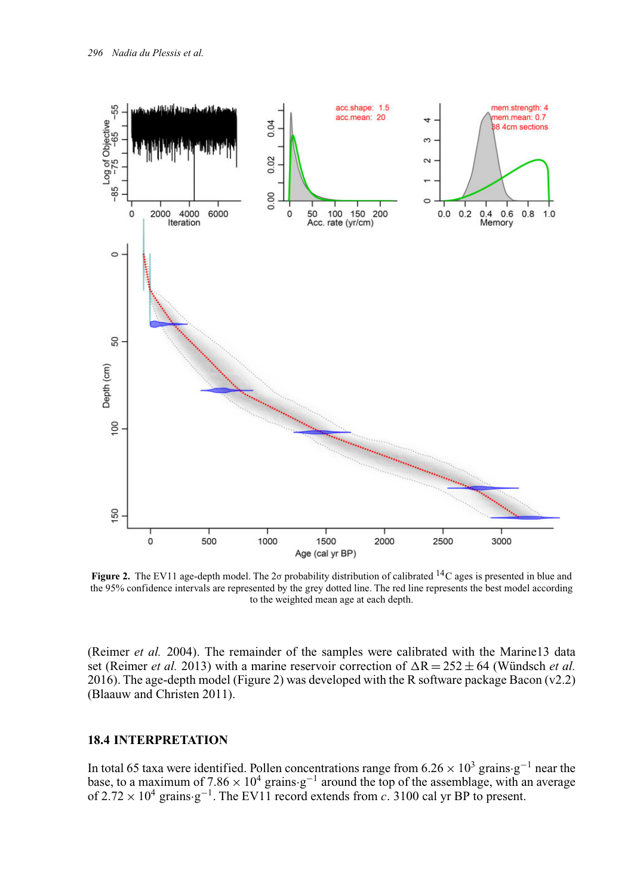

**Figure 2.** The EV11 age-depth model. The 2 $\sigma$  probability distribution of calibrated <sup>14</sup>C ages is presented in blue and the 95% confidence intervals are represented by the grey dotted line. The red line represents the best model according to the weighted mean age at each depth.

(Reimer *et al.* 2004). The remainder of the samples were calibrated with the Marine13 data set (Reimer *et al.* 2013) with a marine reservoir correction of  $\Delta R = 252 \pm 64$  (Wündsch *et al.*) 2016). The age-depth model (Figure 2) was developed with the R software package Bacon (v2.2) (Blaauw and Christen 2011).

#### **18.4 INTERPRETATION**

In total 65 taxa were identified. Pollen concentrations range from 6.26  $\times$  10<sup>3</sup> grains·g<sup>-1</sup> near the base, to a maximum of  $7.86 \times 10^4$  grains g<sup>-1</sup> around the top of the assemblage, with an average of 2.72 × 104 grains·g<sup>−</sup>1. The EV11 record extends from *c.* 3100 cal yr BP to present.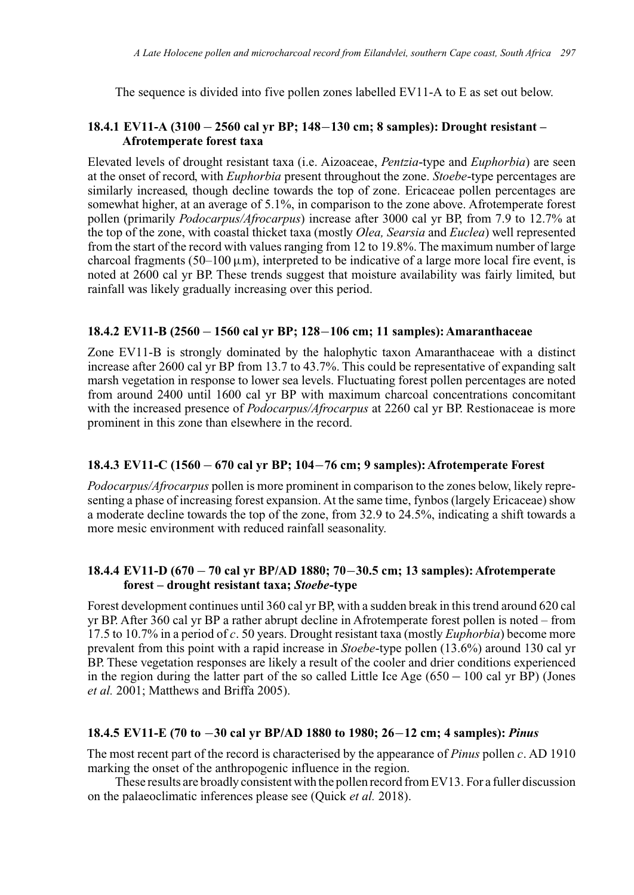The sequence is divided into five pollen zones labelled EV11-A to E as set out below.

#### **18.4.1 EV11-A (3100** − **2560 cal yr BP; 148**−**130 cm; 8 samples): Drought resistant – Afrotemperate forest taxa**

Elevated levels of drought resistant taxa (i.e. Aizoaceae, *Pentzia*-type and *Euphorbia*) are seen at the onset of record, with *Euphorbia* present throughout the zone. *Stoebe*-type percentages are similarly increased, though decline towards the top of zone. Ericaceae pollen percentages are somewhat higher, at an average of 5.1%, in comparison to the zone above. Afrotemperate forest pollen (primarily *Podocarpus/Afrocarpus*) increase after 3000 cal yr BP, from 7.9 to 12.7% at the top of the zone, with coastal thicket taxa (mostly *Olea, Searsia* and *Euclea*) well represented from the start of the record with values ranging from 12 to 19.8%. The maximum number of large charcoal fragments (50–100  $\mu$ m), interpreted to be indicative of a large more local fire event, is noted at 2600 cal yr BP. These trends suggest that moisture availability was fairly limited, but rainfall was likely gradually increasing over this period.

#### **18.4.2 EV11-B (2560** − **1560 cal yr BP; 128**−**106 cm; 11 samples): Amaranthaceae**

Zone EV11-B is strongly dominated by the halophytic taxon Amaranthaceae with a distinct increase after 2600 cal yr BP from 13.7 to 43.7%. This could be representative of expanding salt marsh vegetation in response to lower sea levels. Fluctuating forest pollen percentages are noted from around 2400 until 1600 cal yr BP with maximum charcoal concentrations concomitant with the increased presence of *Podocarpus/Afrocarpus* at 2260 cal yr BP. Restionaceae is more prominent in this zone than elsewhere in the record.

#### **18.4.3 EV11-C (1560** − **670 cal yr BP; 104**−**76 cm; 9 samples): Afrotemperate Forest**

*Podocarpus/Afrocarpus* pollen is more prominent in comparison to the zones below, likely representing a phase of increasing forest expansion. At the same time, fynbos (largely Ericaceae) show a moderate decline towards the top of the zone, from 32.9 to 24.5%, indicating a shift towards a more mesic environment with reduced rainfall seasonality.

#### **18.4.4 EV11-D (670** − **70 cal yr BP/AD 1880; 70**−**30.5 cm; 13 samples): Afrotemperate forest – drought resistant taxa;** *Stoebe***-type**

Forest development continues until 360 cal yr BP, with a sudden break in this trend around 620 cal yr BP. After 360 cal yr BP a rather abrupt decline in Afrotemperate forest pollen is noted – from 17.5 to 10.7% in a period of *c.* 50 years. Drought resistant taxa (mostly *Euphorbia*) become more prevalent from this point with a rapid increase in *Stoebe*-type pollen (13.6%) around 130 cal yr BP. These vegetation responses are likely a result of the cooler and drier conditions experienced in the region during the latter part of the so called Little Ice Age (650 − 100 cal yr BP) (Jones *et al.* 2001; Matthews and Briffa 2005).

#### **18.4.5 EV11-E (70 to** −**30 cal yr BP/AD 1880 to 1980; 26**−**12 cm; 4 samples):** *Pinus*

The most recent part of the record is characterised by the appearance of *Pinus* pollen *c.* AD 1910 marking the onset of the anthropogenic influence in the region.

These results are broadly consistent with the pollen record from EV13. For a fuller discussion on the palaeoclimatic inferences please see (Quick *et al.* 2018).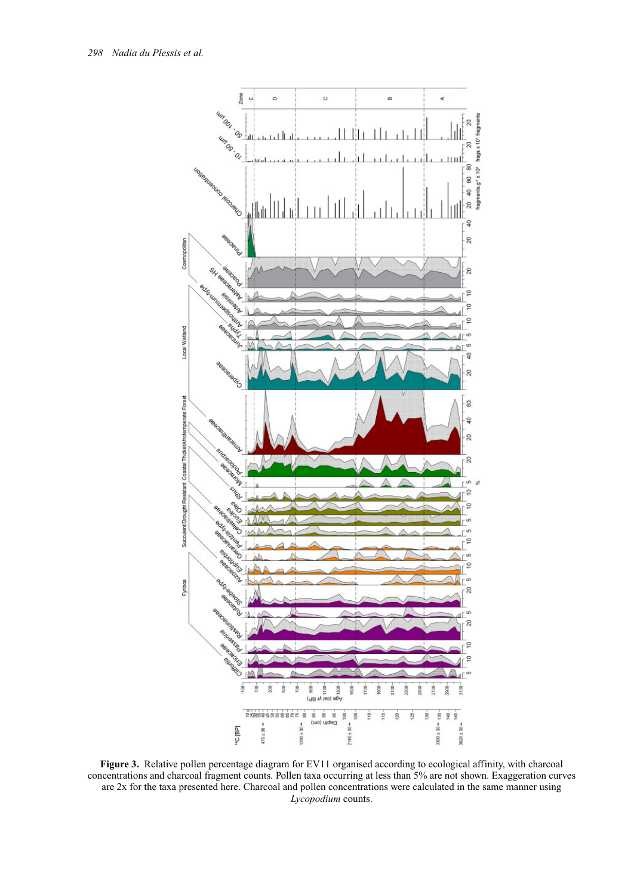

**Figure 3.** Relative pollen percentage diagram for EV11 organised according to ecological affinity, with charcoal concentrations and charcoal fragment counts. Pollen taxa occurring at less than 5% are not shown. Exaggeration curves are 2x for the taxa presented here. Charcoal and pollen concentrations were calculated in the same manner using *Lycopodium* counts.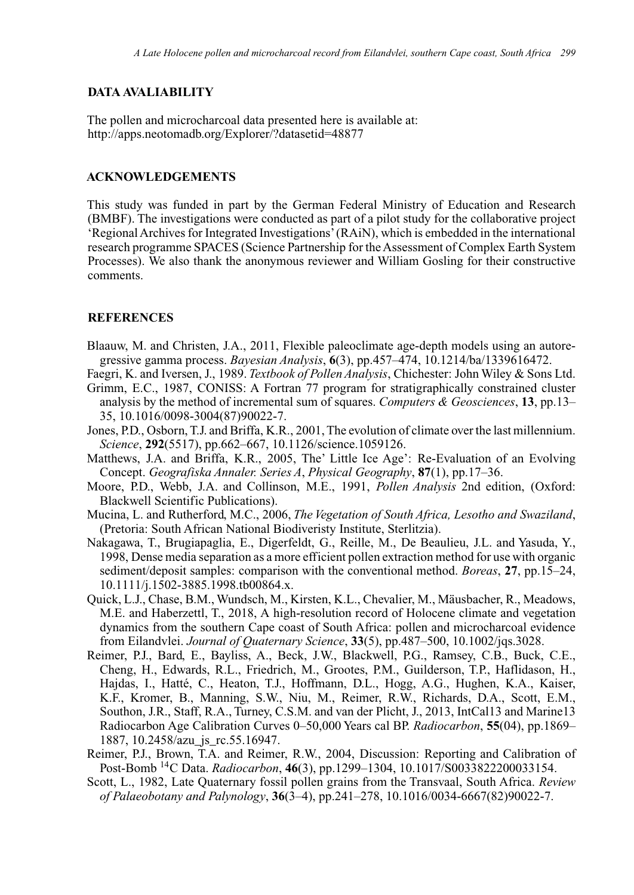#### **DATA AVALIABILITY**

The pollen and microcharcoal data presented here is available at: <http://apps.neotomadb.org/Explorer/?datasetid=48877>

#### **ACKNOWLEDGEMENTS**

This study was funded in part by the German Federal Ministry of Education and Research (BMBF). The investigations were conducted as part of a pilot study for the collaborative project 'Regional Archives for Integrated Investigations'(RAiN), which is embedded in the international research programme SPACES (Science Partnership for the Assessment of Complex Earth System Processes). We also thank the anonymous reviewer and William Gosling for their constructive comments.

#### **REFERENCES**

- Blaauw, M. and Christen, J.A., 2011, Flexible paleoclimate age-depth models using an autoregressive gamma process. *Bayesian Analysis*, **6**(3), pp.457–474, 10.1214/ba/1339616472.
- Faegri, K. and Iversen, J., 1989. *Textbook of Pollen Analysis*, Chichester: John Wiley & Sons Ltd. Grimm, E.C., 1987, CONISS: A Fortran 77 program for stratigraphically constrained cluster
- analysis by the method of incremental sum of squares. *Computers & Geosciences*, **13**, pp.13– 35, 10.1016/0098-3004(87)90022-7.
- Jones, P.D., Osborn, T.J. and Briffa, K.R., 2001, The evolution of climate over the last millennium. *Science*, **292**(5517), pp.662–667, 10.1126/science.1059126.
- Matthews, J.A. and Briffa, K.R., 2005, The' Little Ice Age': Re-Evaluation of an Evolving Concept. *Geografiska Annaler. Series A*, *Physical Geography*, **87**(1), pp.17–36.
- Moore, P.D., Webb, J.A. and Collinson, M.E., 1991, *Pollen Analysis* 2nd edition, (Oxford: Blackwell Scientific Publications).
- Mucina, L. and Rutherford, M.C., 2006, *The Vegetation of South Africa, Lesotho and Swaziland*, (Pretoria: South African National Biodiveristy Institute, Sterlitzia).
- Nakagawa, T., Brugiapaglia, E., Digerfeldt, G., Reille, M., De Beaulieu, J.L. and Yasuda, Y., 1998, Dense media separation as a more efficient pollen extraction method for use with organic sediment/deposit samples: comparison with the conventional method. *Boreas*, **27**, pp.15–24, 10.1111/j.1502-3885.1998.tb00864.x.
- Quick, L.J., Chase, B.M., Wundsch, M., Kirsten, K.L., Chevalier, M., Mäusbacher, R., Meadows, M.E. and Haberzettl, T., 2018, A high-resolution record of Holocene climate and vegetation dynamics from the southern Cape coast of South Africa: pollen and microcharcoal evidence from Eilandvlei. *Journal of Quaternary Science*, **33**(5), pp.487–500, 10.1002/jqs.3028.
- Reimer, P.J., Bard, E., Bayliss, A., Beck, J.W., Blackwell, P.G., Ramsey, C.B., Buck, C.E., Cheng, H., Edwards, R.L., Friedrich, M., Grootes, P.M., Guilderson, T.P., Haflidason, H., Hajdas, I., Hatté, C., Heaton, T.J., Hoffmann, D.L., Hogg, A.G., Hughen, K.A., Kaiser, K.F., Kromer, B., Manning, S.W., Niu, M., Reimer, R.W., Richards, D.A., Scott, E.M., Southon, J.R., Staff, R.A., Turney, C.S.M. and van der Plicht, J., 2013, IntCal13 and Marine13 Radiocarbon Age Calibration Curves 0–50,000 Years cal BP. *Radiocarbon*, **55**(04), pp.1869– 1887, 10.2458/azu\_js\_rc.55.16947.
- Reimer, P.J., Brown, T.A. and Reimer, R.W., 2004, Discussion: Reporting and Calibration of Post-Bomb 14C Data. *Radiocarbon*, **46**(3), pp.1299–1304, 10.1017/S0033822200033154.
- Scott, L., 1982, Late Quaternary fossil pollen grains from the Transvaal, South Africa. *Review of Palaeobotany and Palynology*, **36**(3–4), pp.241–278, 10.1016/0034-6667(82)90022-7.